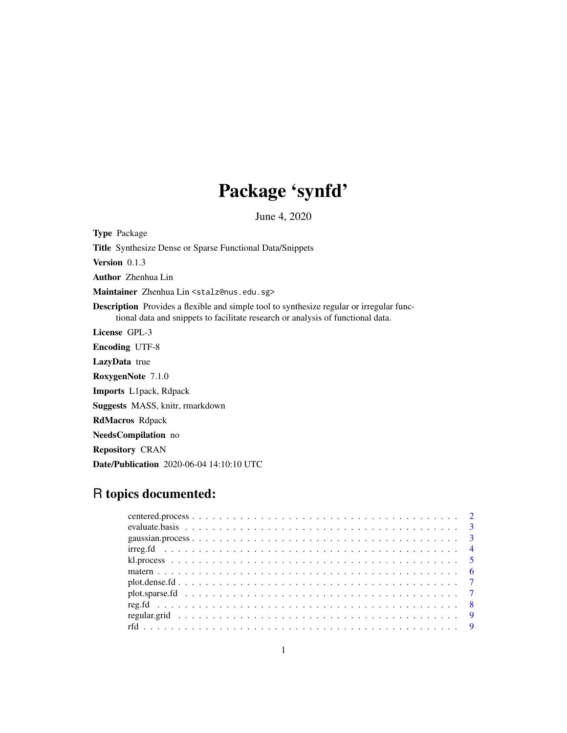## Package 'synfd'

June 4, 2020

Type Package Title Synthesize Dense or Sparse Functional Data/Snippets Version 0.1.3 Author Zhenhua Lin Maintainer Zhenhua Lin <stalz@nus.edu.sg> Description Provides a flexible and simple tool to synthesize regular or irregular functional data and snippets to facilitate research or analysis of functional data. License GPL-3 Encoding UTF-8 LazyData true RoxygenNote 7.1.0 Imports L1pack, Rdpack Suggests MASS, knitr, rmarkdown RdMacros Rdpack NeedsCompilation no Repository CRAN Date/Publication 2020-06-04 14:10:10 UTC

## R topics documented: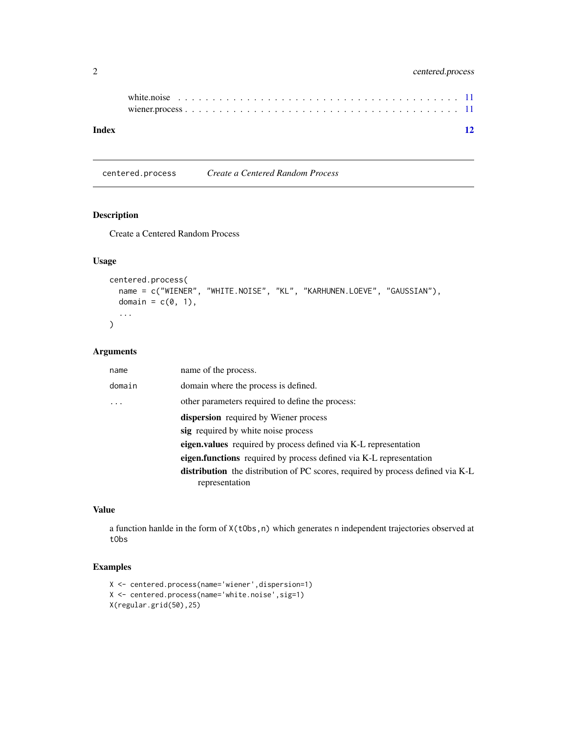## <span id="page-1-0"></span>2 centered.process

| Index |  |  |  |  |  |  |  |  |  |  |  |  |  |  | 12 |
|-------|--|--|--|--|--|--|--|--|--|--|--|--|--|--|----|

centered.process *Create a Centered Random Process*

## Description

Create a Centered Random Process

## Usage

```
centered.process(
  name = c("WIENER", "WHITE.NOISE", "KL", "KARHUNEN.LOEVE", "GAUSSIAN"),
  domain = c(0, 1),
  ...
\mathcal{L}
```
## Arguments

| name of the process.                                                                                     |
|----------------------------------------------------------------------------------------------------------|
| domain where the process is defined.                                                                     |
| other parameters required to define the process:                                                         |
| <b>dispersion</b> required by Wiener process                                                             |
| sig required by white noise process                                                                      |
| <b>eigen.values</b> required by process defined via K-L representation                                   |
| eigen.functions required by process defined via K-L representation                                       |
| <b>distribution</b> the distribution of PC scores, required by process defined via K-L<br>representation |
|                                                                                                          |

## Value

a function hanlde in the form of X(tObs,n) which generates n independent trajectories observed at tObs

## Examples

```
X <- centered.process(name='wiener',dispersion=1)
X <- centered.process(name='white.noise',sig=1)
X(regular.grid(50),25)
```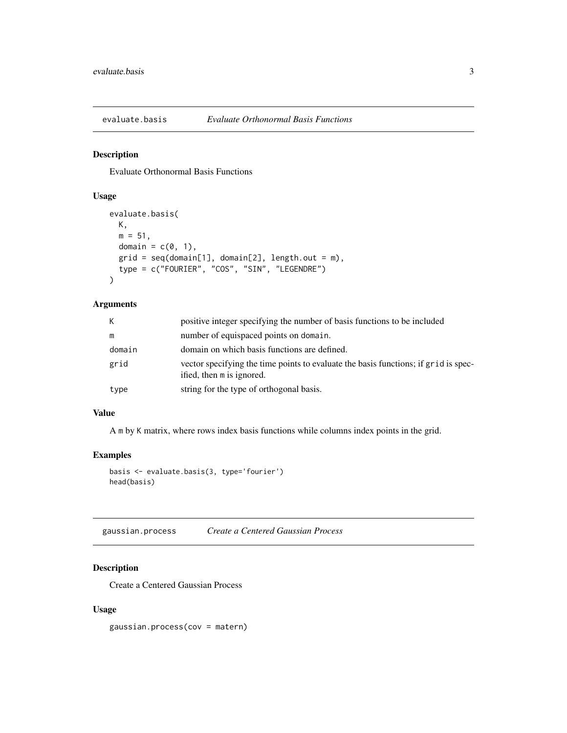<span id="page-2-0"></span>

## Description

Evaluate Orthonormal Basis Functions

## Usage

```
evaluate.basis(
 K,
 m = 51,
 domain = c(0, 1),
 grid = seq(domain[1], domain[2], length.out = m),type = c("FOURIER", "COS", "SIN", "LEGENDRE")
)
```
## Arguments

| K      | positive integer specifying the number of basis functions to be included                                         |
|--------|------------------------------------------------------------------------------------------------------------------|
| m      | number of equispaced points on domain.                                                                           |
| domain | domain on which basis functions are defined.                                                                     |
| grid   | vector specifying the time points to evaluate the basis functions; if grid is spec-<br>ified, then m is ignored. |
| type   | string for the type of orthogonal basis.                                                                         |

## Value

A m by K matrix, where rows index basis functions while columns index points in the grid.

### Examples

```
basis <- evaluate.basis(3, type='fourier')
head(basis)
```
gaussian.process *Create a Centered Gaussian Process*

## Description

Create a Centered Gaussian Process

#### Usage

gaussian.process(cov = matern)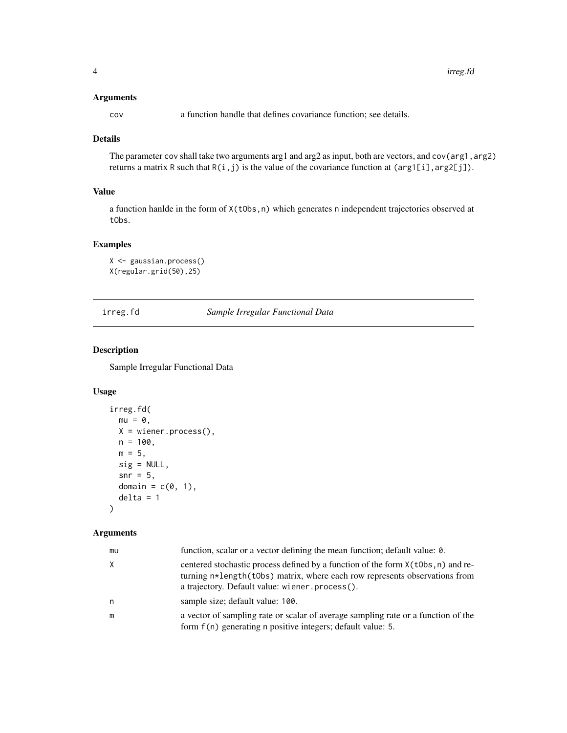#### <span id="page-3-0"></span>Arguments

cov a function handle that defines covariance function; see details.

## Details

The parameter cov shall take two arguments arg1 and arg2 as input, both are vectors, and cov(arg1, arg2) returns a matrix R such that  $R(i, j)$  is the value of the covariance function at (arg1[i], arg2[j]).

## Value

a function hanlde in the form of X(tObs,n) which generates n independent trajectories observed at tObs.

## Examples

X <- gaussian.process() X(regular.grid(50),25)

<span id="page-3-1"></span>irreg.fd *Sample Irregular Functional Data*

## Description

Sample Irregular Functional Data

## Usage

```
irreg.fd(
 mu = 0,
 X = wiener.process(),
 n = 100,
 m = 5,
 sig = NULL,snr = 5,
 domain = c(0, 1),
 delta = 1)
```
#### Arguments

| function, scalar or a vector defining the mean function; default value: 0.                                                                                                                                                |
|---------------------------------------------------------------------------------------------------------------------------------------------------------------------------------------------------------------------------|
| centered stochastic process defined by a function of the form $X(t\text{Obs}, n)$ and re-<br>turning n*length(t0bs) matrix, where each row represents observations from<br>a trajectory. Default value: wiener.process(). |
| sample size; default value: 100.                                                                                                                                                                                          |
| a vector of sampling rate or scalar of average sampling rate or a function of the<br>form f(n) generating n positive integers; default value: 5.                                                                          |
|                                                                                                                                                                                                                           |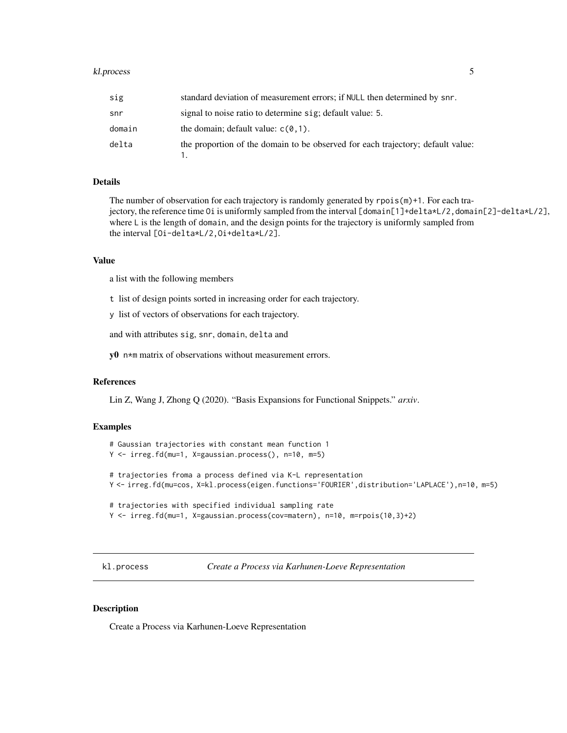#### <span id="page-4-0"></span>kl.process 5

| sig    | standard deviation of measurement errors; if NULL then determined by snr.       |
|--------|---------------------------------------------------------------------------------|
| snr    | signal to noise ratio to determine sig; default value: 5.                       |
| domain | the domain; default value: $c(\theta, 1)$ .                                     |
| delta  | the proportion of the domain to be observed for each trajectory; default value: |

## Details

The number of observation for each trajectory is randomly generated by rpois(m)+1. For each trajectory, the reference time Oi is uniformly sampled from the interval [domain[1]+delta\*L/2,domain[2]-delta\*L/2], where L is the length of domain, and the design points for the trajectory is uniformly sampled from the interval [Oi-delta\*L/2,Oi+delta\*L/2].

#### Value

a list with the following members

t list of design points sorted in increasing order for each trajectory.

y list of vectors of observations for each trajectory.

and with attributes sig, snr, domain, delta and

y0 n\*m matrix of observations without measurement errors.

#### References

Lin Z, Wang J, Zhong Q (2020). "Basis Expansions for Functional Snippets." *arxiv*.

#### Examples

```
# Gaussian trajectories with constant mean function 1
Y <- irreg.fd(mu=1, X=gaussian.process(), n=10, m=5)
# trajectories froma a process defined via K-L representation
Y <- irreg.fd(mu=cos, X=kl.process(eigen.functions='FOURIER',distribution='LAPLACE'),n=10, m=5)
# trajectories with specified individual sampling rate
Y <- irreg.fd(mu=1, X=gaussian.process(cov=matern), n=10, m=rpois(10,3)+2)
```
kl.process *Create a Process via Karhunen-Loeve Representation*

#### Description

Create a Process via Karhunen-Loeve Representation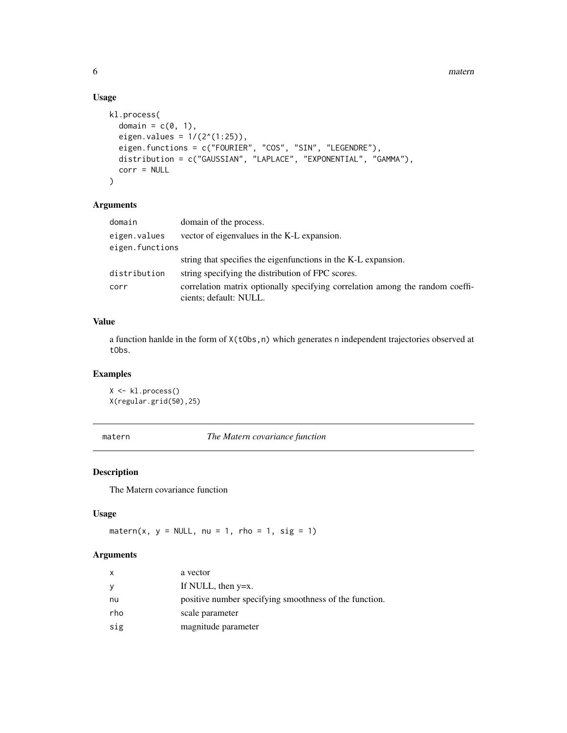## Usage

```
kl.process(
 domain = c(0, 1),
 eigen.values = 1/(2^(1:25)),
 eigen.functions = c("FOURIER", "COS", "SIN", "LEGENDRE"),
 distribution = c("GAUSSIAN", "LAPLACE", "EXPONENTIAL", "GAMMA"),
 corr = NULL
)
```
#### Arguments

| domain          | domain of the process.                                                                                  |
|-----------------|---------------------------------------------------------------------------------------------------------|
| eigen.values    | vector of eigenvalues in the K-L expansion.                                                             |
| eigen.functions |                                                                                                         |
|                 | string that specifies the eigenfunctions in the K-L expansion.                                          |
| distribution    | string specifying the distribution of FPC scores.                                                       |
| corr            | correlation matrix optionally specifying correlation among the random coeffi-<br>cients; default: NULL. |

## Value

a function hanlde in the form of  $X(tObs,n)$  which generates n independent trajectories observed at tObs.

## Examples

X <- kl.process() X(regular.grid(50),25)

| matern |
|--------|
|--------|

**The Matern covariance function** 

## Description

The Matern covariance function

## Usage

matern(x,  $y = NULL$ , nu = 1, rho = 1, sig = 1)

## Arguments

| x   | a vector                                               |
|-----|--------------------------------------------------------|
| У   | If NULL, then $y=x$ .                                  |
| nu  | positive number specifying smoothness of the function. |
| rho | scale parameter                                        |
| sig | magnitude parameter                                    |

<span id="page-5-0"></span>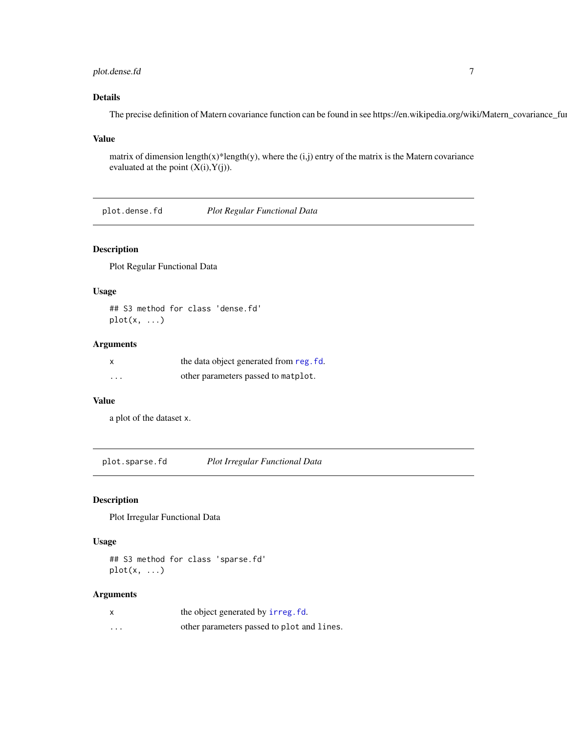## <span id="page-6-0"></span>plot.dense.fd 7

## Details

The precise definition of Matern covariance function can be found in see https://en.wikipedia.org/wiki/Matern\_covariance\_function.com

#### Value

matrix of dimension length(x)\*length(y), where the  $(i,j)$  entry of the matrix is the Matern covariance evaluated at the point  $(X(i), Y(j))$ .

plot.dense.fd *Plot Regular Functional Data*

## Description

Plot Regular Functional Data

## Usage

## S3 method for class 'dense.fd' plot(x, ...)

#### Arguments

|   | the data object generated from reg. fd. |
|---|-----------------------------------------|
| . | other parameters passed to matplot.     |

#### Value

a plot of the dataset x.

plot.sparse.fd *Plot Irregular Functional Data*

#### Description

Plot Irregular Functional Data

#### Usage

## S3 method for class 'sparse.fd'  $plot(x, \ldots)$ 

## Arguments

| $\boldsymbol{\mathsf{x}}$ | the object generated by irreg. fd.         |
|---------------------------|--------------------------------------------|
| $\cdots$                  | other parameters passed to plot and lines. |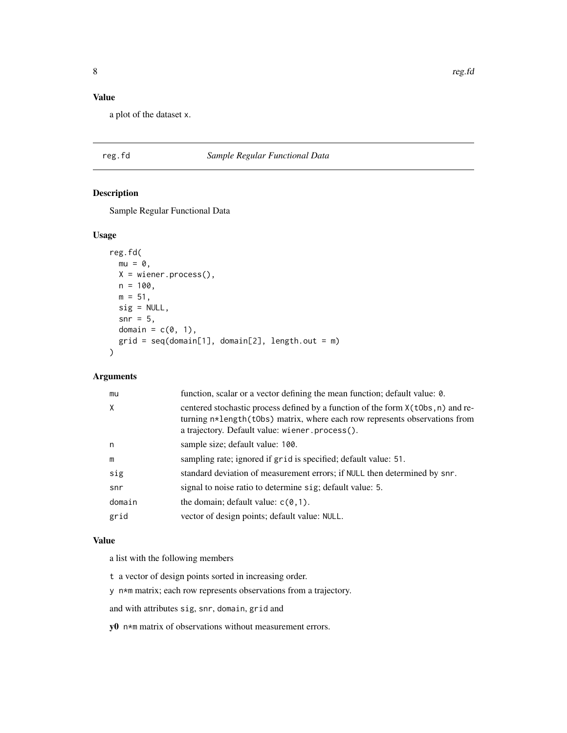## <span id="page-7-0"></span>Value

a plot of the dataset x.

## <span id="page-7-1"></span>reg.fd *Sample Regular Functional Data*

## Description

Sample Regular Functional Data

## Usage

```
reg.fd(
 mu = 0,
 X = wiener.process(),
 n = 100,m = 51,
 sig = NULL,
 snr = 5,
 domain = c(0, 1),
 grid = seq(domain[1], domain[2], length.out = m))
```
## Arguments

| mu     | function, scalar or a vector defining the mean function; default value: 0.                                                                                                                                            |
|--------|-----------------------------------------------------------------------------------------------------------------------------------------------------------------------------------------------------------------------|
| X      | centered stochastic process defined by a function of the form $X(t^{obs}, n)$ and re-<br>turning n*length(t0bs) matrix, where each row represents observations from<br>a trajectory. Default value: wiener.process(). |
| n      | sample size; default value: 100.                                                                                                                                                                                      |
| m      | sampling rate; ignored if grid is specified; default value: 51.                                                                                                                                                       |
| sig    | standard deviation of measurement errors; if NULL then determined by snr.                                                                                                                                             |
| snr    | signal to noise ratio to determine sig; default value: 5.                                                                                                                                                             |
| domain | the domain; default value: $c(0,1)$ .                                                                                                                                                                                 |
| grid   | vector of design points; default value: NULL.                                                                                                                                                                         |

## Value

a list with the following members

- t a vector of design points sorted in increasing order.
- y n\*m matrix; each row represents observations from a trajectory.

and with attributes sig, snr, domain, grid and

y0 n\*m matrix of observations without measurement errors.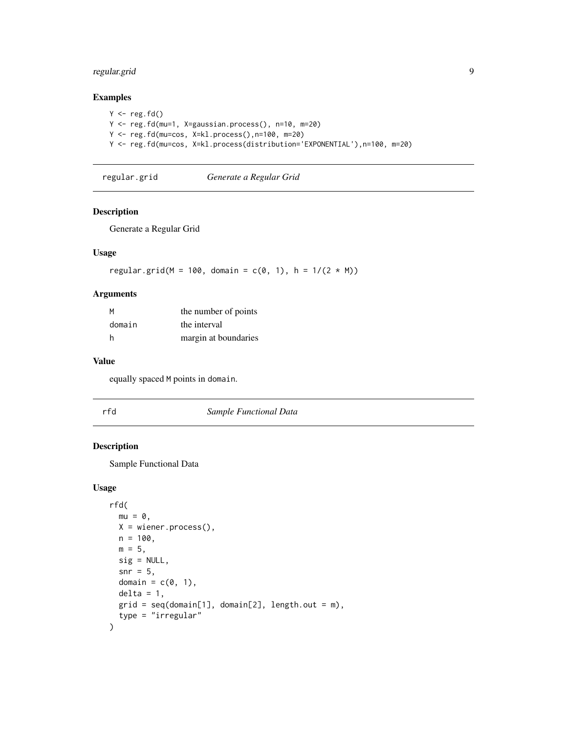## <span id="page-8-0"></span>regular.grid 9

## Examples

```
Y \leftarrow \text{reg.fd}()Y <- reg.fd(mu=1, X=gaussian.process(), n=10, m=20)
Y <- reg.fd(mu=cos, X=kl.process(),n=100, m=20)
Y <- reg.fd(mu=cos, X=kl.process(distribution='EXPONENTIAL'),n=100, m=20)
```
regular.grid *Generate a Regular Grid*

#### Description

Generate a Regular Grid

#### Usage

regular.grid(M = 100, domain =  $c(0, 1)$ , h =  $1/(2 * M)$ )

## Arguments

| M      | the number of points |
|--------|----------------------|
| domain | the interval         |
| h      | margin at boundaries |

#### Value

equally spaced M points in domain.

rfd *Sample Functional Data*

#### Description

Sample Functional Data

#### Usage

```
rfd(
 mu = 0,
 X = \text{wiener.process}(),
 n = 100,m = 5,
 sig = NULL,snr = 5.
 domain = c(0, 1),
 delta = 1,
 grid = seq(domain[1], domain[2], length.out = m),type = "irregular"
)
```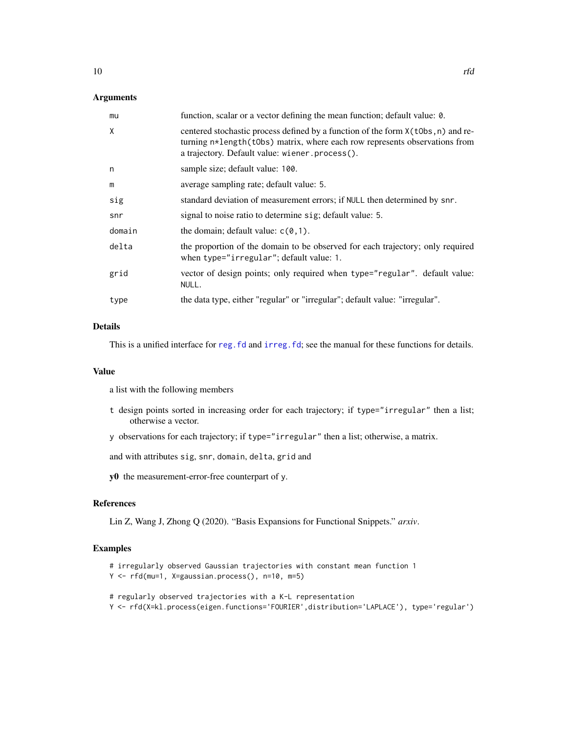#### <span id="page-9-0"></span>Arguments

| mu     | function, scalar or a vector defining the mean function; default value: 0.                                                                                                                                            |
|--------|-----------------------------------------------------------------------------------------------------------------------------------------------------------------------------------------------------------------------|
| X      | centered stochastic process defined by a function of the form $X(t^{obs}, n)$ and re-<br>turning n*length(t0bs) matrix, where each row represents observations from<br>a trajectory. Default value: wiener.process(). |
| n      | sample size; default value: 100.                                                                                                                                                                                      |
| m      | average sampling rate; default value: 5.                                                                                                                                                                              |
| sig    | standard deviation of measurement errors; if NULL then determined by snr.                                                                                                                                             |
| snr    | signal to noise ratio to determine sig; default value: 5.                                                                                                                                                             |
| domain | the domain; default value: $c(0, 1)$ .                                                                                                                                                                                |
| delta  | the proportion of the domain to be observed for each trajectory; only required<br>when type="irregular"; default value: 1.                                                                                            |
| grid   | vector of design points; only required when type="regular". default value:<br>NULL.                                                                                                                                   |
| type   | the data type, either "regular" or "irregular"; default value: "irregular".                                                                                                                                           |
|        |                                                                                                                                                                                                                       |

## Details

This is a unified interface for reg. fd and irreg. fd; see the manual for these functions for details.

#### Value

a list with the following members

- t design points sorted in increasing order for each trajectory; if type="irregular" then a list; otherwise a vector.
- y observations for each trajectory; if type="irregular" then a list; otherwise, a matrix.

and with attributes sig, snr, domain, delta, grid and

y0 the measurement-error-free counterpart of y.

## References

Lin Z, Wang J, Zhong Q (2020). "Basis Expansions for Functional Snippets." *arxiv*.

## Examples

```
# irregularly observed Gaussian trajectories with constant mean function 1
Y <- rfd(mu=1, X=gaussian.process(), n=10, m=5)
```
- # regularly observed trajectories with a K-L representation
- Y <- rfd(X=kl.process(eigen.functions='FOURIER',distribution='LAPLACE'), type='regular')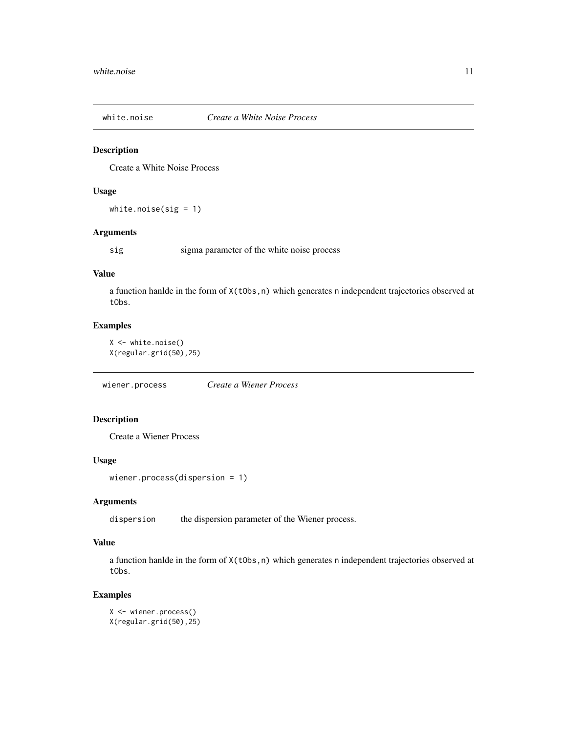<span id="page-10-0"></span>

## Description

Create a White Noise Process

## Usage

white.noise(sig = 1)

#### Arguments

sig sigma parameter of the white noise process

#### Value

a function hanlde in the form of  $X(tObs, n)$  which generates n independent trajectories observed at tObs.

## Examples

X <- white.noise() X(regular.grid(50),25)

wiener.process *Create a Wiener Process*

## Description

Create a Wiener Process

#### Usage

```
wiener.process(dispersion = 1)
```
## Arguments

dispersion the dispersion parameter of the Wiener process.

#### Value

a function hanlde in the form of  $X(tObs, n)$  which generates n independent trajectories observed at tObs.

## Examples

X <- wiener.process() X(regular.grid(50),25)